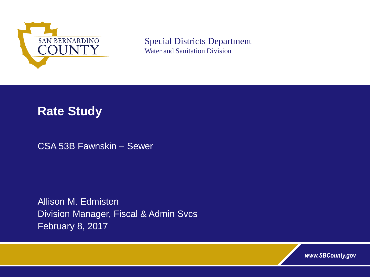

Special Districts Department Water and Sanitation Division

## **Rate Study**

CSA 53B Fawnskin – Sewer

Allison M. Edmisten Division Manager, Fiscal & Admin Svcs February 8, 2017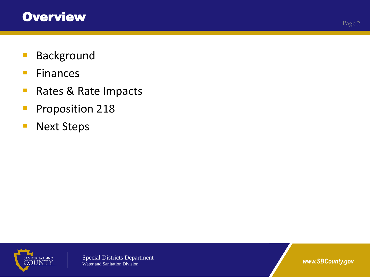- **Background**
- **Finances**
- Rates & Rate Impacts
- **Proposition 218**
- **Next Steps**

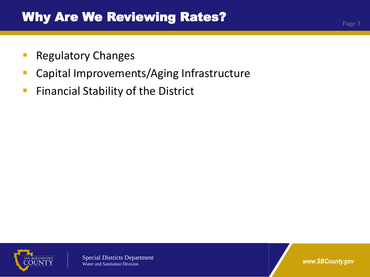- **Regulatory Changes**
- **Capital Improvements/Aging Infrastructure**
- **Financial Stability of the District**

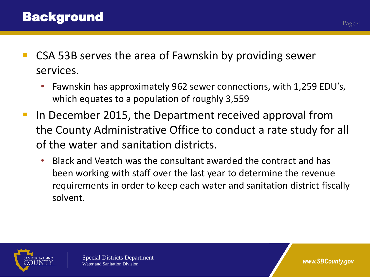- CSA 53B serves the area of Fawnskin by providing sewer services.
	- Fawnskin has approximately 962 sewer connections, with 1,259 EDU's, which equates to a population of roughly 3,559
- In December 2015, the Department received approval from the County Administrative Office to conduct a rate study for all of the water and sanitation districts.
	- Black and Veatch was the consultant awarded the contract and has been working with staff over the last year to determine the revenue requirements in order to keep each water and sanitation district fiscally solvent.

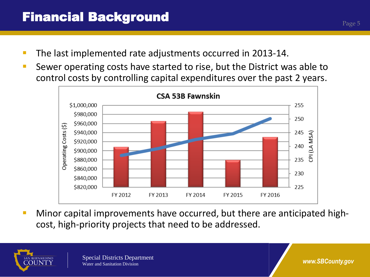- **The last implemented rate adjustments occurred in 2013-14.**
- **Sewer operating costs have started to rise, but the District was able to** control costs by controlling capital expenditures over the past 2 years.



**Minor capital improvements have occurred, but there are anticipated high**cost, high-priority projects that need to be addressed.



Page 5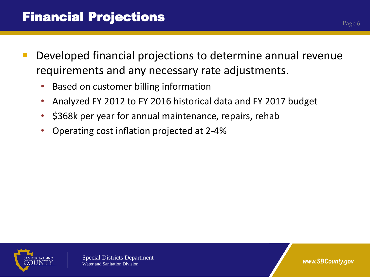- Developed financial projections to determine annual revenue requirements and any necessary rate adjustments.
	- Based on customer billing information
	- Analyzed FY 2012 to FY 2016 historical data and FY 2017 budget
	- \$368k per year for annual maintenance, repairs, rehab
	- Operating cost inflation projected at 2-4%



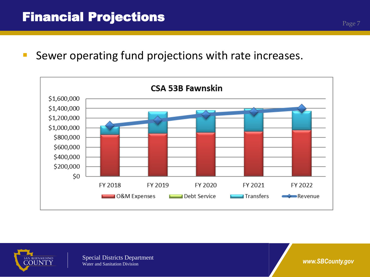**Sewer operating fund projections with rate increases.** 



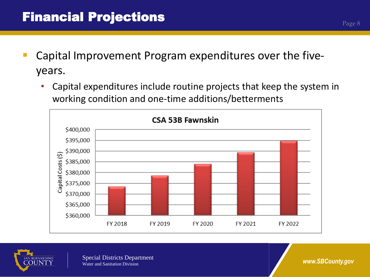- Capital Improvement Program expenditures over the fiveyears.
	- Capital expenditures include routine projects that keep the system in working condition and one-time additions/betterments





Special Districts Department Water and Sanitation Division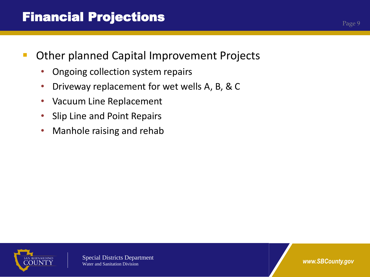## Financial Projections

- Other planned Capital Improvement Projects
	- Ongoing collection system repairs
	- Driveway replacement for wet wells A, B, & C
	- Vacuum Line Replacement
	- Slip Line and Point Repairs
	- Manhole raising and rehab



*www.SBCounty.gov*

Page 9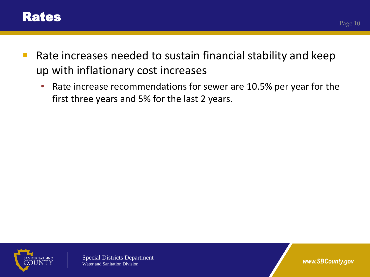

- **Rate increases needed to sustain financial stability and keep** up with inflationary cost increases
	- Rate increase recommendations for sewer are 10.5% per year for the first three years and 5% for the last 2 years.



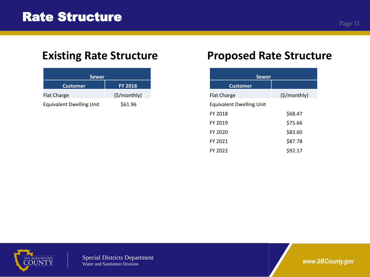| <b>Sewer</b>                    |                |  |  |  |  |  |  |  |
|---------------------------------|----------------|--|--|--|--|--|--|--|
| <b>Customer</b>                 | <b>FY 2016</b> |  |  |  |  |  |  |  |
| <b>Flat Charge</b>              | (S/monthly)    |  |  |  |  |  |  |  |
| <b>Equivalent Dwelling Unit</b> | \$61.96        |  |  |  |  |  |  |  |

## **Existing Rate Structure** *Proposed Rate Structure*

| <b>Sewer</b>                    |                              |  |  |  |  |  |  |  |
|---------------------------------|------------------------------|--|--|--|--|--|--|--|
| <b>Customer</b>                 |                              |  |  |  |  |  |  |  |
| <b>Flat Charge</b>              | $(\frac{5}{\text{Monthly}})$ |  |  |  |  |  |  |  |
| <b>Equivalent Dwelling Unit</b> |                              |  |  |  |  |  |  |  |
| <b>FY 2018</b>                  | \$68.47                      |  |  |  |  |  |  |  |
| FY 2019                         | \$75.66                      |  |  |  |  |  |  |  |
| FY 2020                         | \$83.60                      |  |  |  |  |  |  |  |
| FY 2021                         | \$87.78                      |  |  |  |  |  |  |  |
| FY 2022                         | \$92.17                      |  |  |  |  |  |  |  |

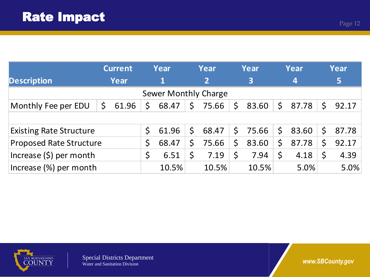|                                | <b>Current</b>   |              | Year        |              | Year           |         | Year                    |         | Year             |              | Year  |  |
|--------------------------------|------------------|--------------|-------------|--------------|----------------|---------|-------------------------|---------|------------------|--------------|-------|--|
| <b>Description</b>             | Year             |              | $\mathbf 1$ |              | $\overline{2}$ |         | $\overline{\mathbf{3}}$ |         | $\boldsymbol{4}$ |              | 5     |  |
| Sewer Monthly Charge           |                  |              |             |              |                |         |                         |         |                  |              |       |  |
| Monthly Fee per EDU            | $\zeta$<br>61.96 | $\mathsf{S}$ | 68.47       | $\zeta$      | 75.66          | $\zeta$ | 83.60                   | $\zeta$ | 87.78            | $\mathsf{S}$ | 92.17 |  |
|                                |                  |              |             |              |                |         |                         |         |                  |              |       |  |
| <b>Existing Rate Structure</b> |                  | $\mathsf{S}$ | 61.96       | $\mathsf{S}$ | 68.47          | \$      | 75.66                   | $\zeta$ | 83.60            | S.           | 87.78 |  |
| <b>Proposed Rate Structure</b> |                  | \$           | 68.47       | $\mathsf{S}$ | 75.66          | \$      | 83.60                   | $\zeta$ | 87.78            | Ś            | 92.17 |  |
| Increase $(\xi)$ per month     |                  | \$           | 6.51        |              | 7.19           | $\zeta$ | 7.94                    | \$      | 4.18             | S            | 4.39  |  |
| Increase (%) per month         |                  |              | 10.5%       |              | 10.5%          |         | 10.5%                   |         | 5.0%             |              | 5.0%  |  |

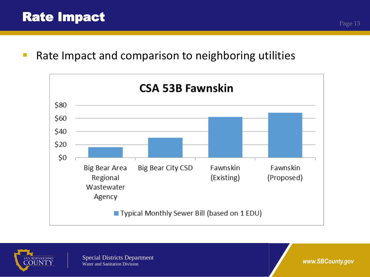**Rate Impact and comparison to neighboring utilities** 



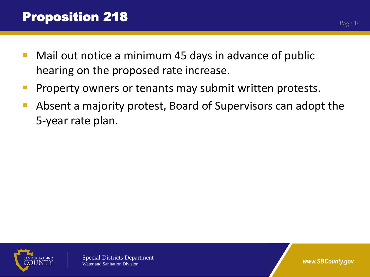- Mail out notice a minimum 45 days in advance of public hearing on the proposed rate increase.
- **Property owners or tenants may submit written protests.**
- Absent a majority protest, Board of Supervisors can adopt the 5-year rate plan.

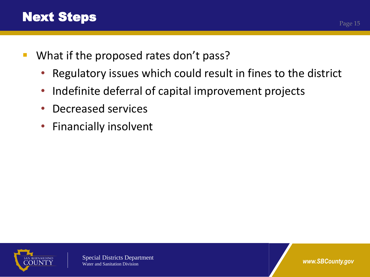- **What if the proposed rates don't pass?** 
	- Regulatory issues which could result in fines to the district
	- Indefinite deferral of capital improvement projects
	- Decreased services
	- Financially insolvent



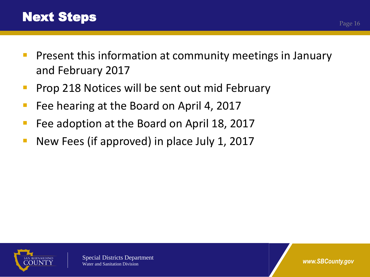- **Present this information at community meetings in January** and February 2017
- **Prop 218 Notices will be sent out mid February**
- **Fiddition Figure 1 Figure 1 Figure 1 Figure 1 Figure 1 Figure 1.**
- Fee adoption at the Board on April 18, 2017
- New Fees (if approved) in place July 1, 2017